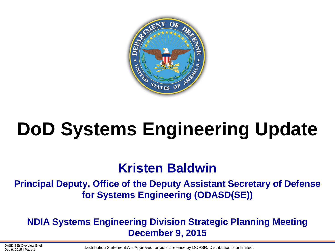

# **DoD Systems Engineering Update**

### **Kristen Baldwin**

#### **Principal Deputy, Office of the Deputy Assistant Secretary of Defense for Systems Engineering (ODASD(SE))**

#### **NDIA Systems Engineering Division Strategic Planning Meeting December 9, 2015**

DASD(SE) Overview Brief

DASD(SE) Overview Brief<br>Dec 9, 2015 | Page-1 **Distribution Statement A** – Approved for public release by DOPSR. Distribution is unlimited.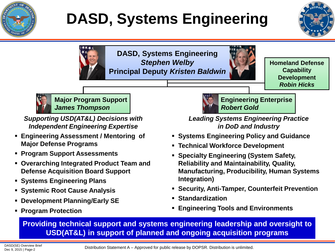

## **DASD, Systems Engineering**





**Homeland Defense Capability Development** *Robin Hicks*



**Major Program Support** *James Thompson*

*Supporting USD(AT&L) Decisions with Independent Engineering Expertise*

- **Engineering Assessment / Mentoring of Major Defense Programs**
- **Program Support Assessments**
- **Overarching Integrated Product Team and Defense Acquisition Board Support**
- **Systems Engineering Plans**
- **Systemic Root Cause Analysis**
- **Development Planning/Early SE**
- **Program Protection**



**Engineering Enterprise** *Robert Gold*

*Leading Systems Engineering Practice in DoD and Industry*

- **Systems Engineering Policy and Guidance**
- **Technical Workforce Development**
- **Specialty Engineering (System Safety, Reliability and Maintainability, Quality, Manufacturing, Producibility, Human Systems Integration)**
- **Security, Anti-Tamper, Counterfeit Prevention**
- **Standardization**
- **Engineering Tools and Environments**

**Providing technical support and systems engineering leadership and oversight to USD(AT&L) in support of planned and ongoing acquisition programs**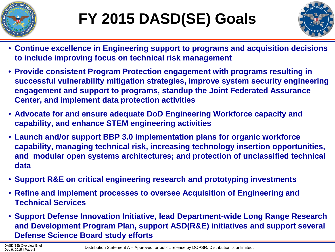



- **Continue excellence in Engineering support to programs and acquisition decisions to include improving focus on technical risk management**
- **Provide consistent Program Protection engagement with programs resulting in successful vulnerability mitigation strategies, improve system security engineering engagement and support to programs, standup the Joint Federated Assurance Center, and implement data protection activities**
- **Advocate for and ensure adequate DoD Engineering Workforce capacity and capability, and enhance STEM engineering activities**
- **Launch and/or support BBP 3.0 implementation plans for organic workforce capability, managing technical risk, increasing technology insertion opportunities, and modular open systems architectures; and protection of unclassified technical data**
- **Support R&E on critical engineering research and prototyping investments**
- **Refine and implement processes to oversee Acquisition of Engineering and Technical Services**
- **Support Defense Innovation Initiative, lead Department-wide Long Range Research and Development Program Plan, support ASD(R&E) initiatives and support several Defense Science Board study efforts**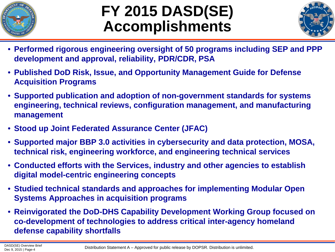

## **FY 2015 DASD(SE) Accomplishments**



- **Performed rigorous engineering oversight of 50 programs including SEP and PPP development and approval, reliability, PDR/CDR, PSA**
- **Published DoD Risk, Issue, and Opportunity Management Guide for Defense Acquisition Programs**
- **Supported publication and adoption of non-government standards for systems engineering, technical reviews, configuration management, and manufacturing management**
- **Stood up Joint Federated Assurance Center (JFAC)**
- **Supported major BBP 3.0 activities in cybersecurity and data protection, MOSA, technical risk, engineering workforce, and engineering technical services**
- **Conducted efforts with the Services, industry and other agencies to establish digital model-centric engineering concepts**
- **Studied technical standards and approaches for implementing Modular Open Systems Approaches in acquisition programs**
- **Reinvigorated the DoD-DHS Capability Development Working Group focused on co-development of technologies to address critical inter-agency homeland defense capability shortfalls**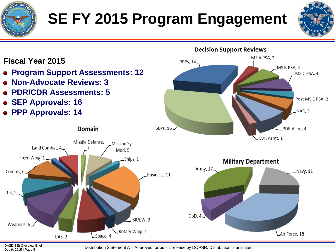

## **SE FY 2015 Program Engagement**





DASD(SE) Overview Brief<br>Dec 9, 2015 | Page-5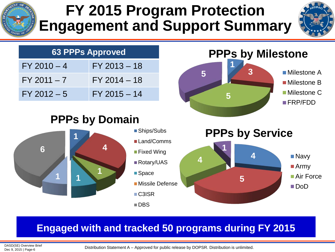

## **FY 2015 Program Protection Engagement and Support Summary**



#### **PPPs by Milestone PPPs by Domain PPPs by Service 63 PPPs Approved**  $FY 2010 - 4$  FY 2013 - 18  $FY 2011 - 7$   $FY 2014 - 18$  $FY 2012 - 5$  FY 2015 - 14 **1 3 5 5** Milestone A ■ Milestone B ■ Milestone C FRP/FDD **4 5 4 1** ■Navy ■ Army Air Force DoD **1 4 <sup>1</sup> <sup>1</sup> <sup>1</sup> 6** ■Ships/Subs ■Land/Comms **Fixed Wing** ■Rotary/UAS ■ Space Missile Defense C3ISR ■DBS

### **Engaged with and tracked 50 programs during FY 2015**

DASD(SE) Overview Brief<br>Dec 9, 2015 | Page-6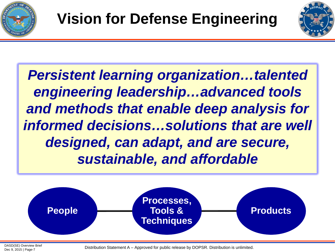



*Persistent learning organization…talented engineering leadership…advanced tools and methods that enable deep analysis for informed decisions…solutions that are well designed, can adapt, and are secure, sustainable, and affordable*



DASD(SE) Overview Brief

DASD(SE) Overview Brief<br>Dec 9, 2015 | Page-7<br>Dec 9, 2015 | Page-7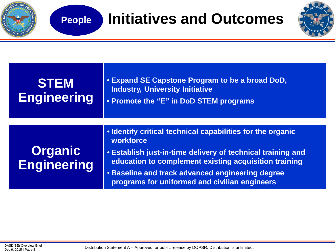

| <b>STEM</b><br><b>Engineering</b>    | • Expand SE Capstone Program to be a broad DoD,<br><b>Industry, University Initiative</b><br>• Promote the "E" in DoD STEM programs                                                                                                                                                                  |
|--------------------------------------|------------------------------------------------------------------------------------------------------------------------------------------------------------------------------------------------------------------------------------------------------------------------------------------------------|
| <b>Organic</b><br><b>Engineering</b> | • Identify critical technical capabilities for the organic<br>workforce<br>• Establish just-in-time delivery of technical training and<br>education to complement existing acquisition training<br>• Baseline and track advanced engineering degree<br>programs for uniformed and civilian engineers |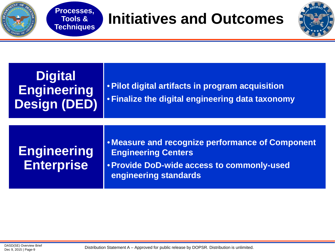

## **Processes, Initiatives and Outcomes**



### **Digital Engineering Design (DED)**

**Tools & Techniques**

### •**Pilot digital artifacts in program acquisition** • **Finalize the digital engineering data taxonomy**

### **Engineering Enterprise**

- **Measure and recognize performance of Component Engineering Centers**
- •**Provide DoD-wide access to commonly-used engineering standards**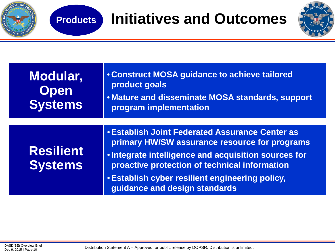

## **Products Initiatives and Outcomes**



| Modular,<br><b>Open</b><br><b>Systems</b> | <b>. Construct MOSA guidance to achieve tailored</b><br>product goals<br>. Mature and disseminate MOSA standards, support<br>program implementation                                                                                                                                                  |  |
|-------------------------------------------|------------------------------------------------------------------------------------------------------------------------------------------------------------------------------------------------------------------------------------------------------------------------------------------------------|--|
|                                           |                                                                                                                                                                                                                                                                                                      |  |
| <b>Resilient</b><br><b>Systems</b>        | <b>• Establish Joint Federated Assurance Center as</b><br>primary HW/SW assurance resource for programs<br>. Integrate intelligence and acquisition sources for<br>proactive protection of technical information<br>• Establish cyber resilient engineering policy,<br>guidance and design standards |  |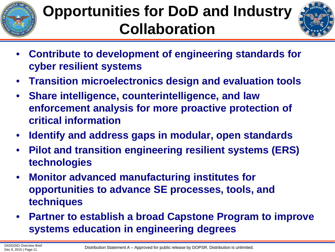

## **Opportunities for DoD and Industry Collaboration**



- **Contribute to development of engineering standards for cyber resilient systems**
- **Transition microelectronics design and evaluation tools**
- **Share intelligence, counterintelligence, and law enforcement analysis for more proactive protection of critical information**
- **Identify and address gaps in modular, open standards**
- **Pilot and transition engineering resilient systems (ERS) technologies**
- **Monitor advanced manufacturing institutes for opportunities to advance SE processes, tools, and techniques**
- **Partner to establish a broad Capstone Program to improve systems education in engineering degrees**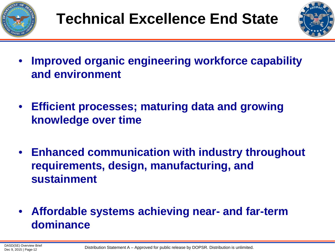



- **Improved organic engineering workforce capability and environment**
- **Efficient processes; maturing data and growing knowledge over time**
- **Enhanced communication with industry throughout requirements, design, manufacturing, and sustainment**
- **Affordable systems achieving near- and far-term dominance**